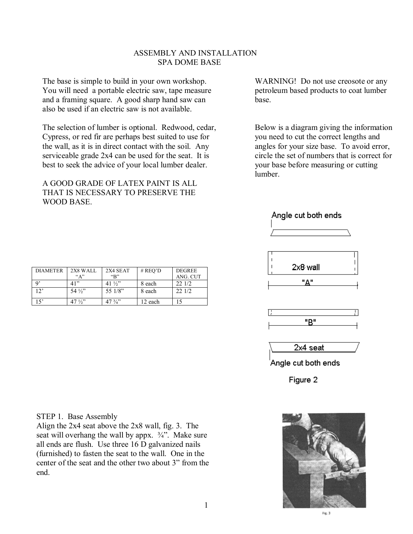# ASSEMBLY AND INSTALLATION SPA DOME BASE

The base is simple to build in your own workshop. WARNING! Do not use creosote or any You will need a portable electric saw, tape measure petroleum based products to coat lumber and a framing square. A good sharp hand saw can base. also be used if an electric saw is not available.

The selection of lumber is optional. Redwood, cedar, Below is a diagram giving the information Cypress, or red fir are perhaps best suited to use for you need to cut the correct lengths and the wall, as it is in direct contact with the soil. Any angles for your size base. To avoid error, serviceable grade 2x4 can be used for the seat. It is circle the set of numbers that is correct for best to seek the advice of your local lumber dealer. your base before measuring or cutting

A GOOD GRADE OF LATEX PAINT IS ALL THAT IS NECESSARY TO PRESERVE THE WOOD BASE.

lumber.



## Angle cut both ends







Angle cut both ends

Figure 2



Fig. 3

#### STEP 1. Base Assembly

Align the 2x4 seat above the 2x8 wall, fig. 3. The seat will overhang the wall by appx.  $\frac{3}{4}$ . Make sure all ends are flush. Use three 16 D galvanized nails (furnished) to fasten the seat to the wall. One in the center of the seat and the other two about 3" from the end.

1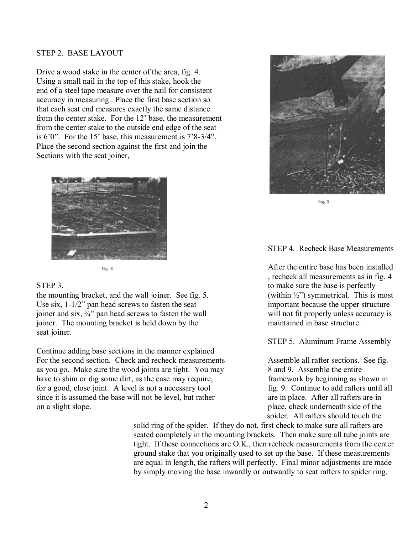## STEP 2. BASE LAYOUT

Drive a wood stake in the center of the area, fig. 4. Using a small nail in the top of this stake, hook the end of a steel tape measure over the nail for consistent accuracy in measuring. Place the first base section so that each seat end measures exactly the same distance from the center stake. For the 12' base, the measurement from the center stake to the outside end edge of the seat is  $6^{\circ}0^{\prime\prime}$ . For the 15<sup> $\prime$ </sup> base, this measurement is  $7^{\prime}8-3/4^{\prime\prime}$ . Place the second section against the first and join the Sections with the seat joiner,



the mounting bracket, and the wall joiner. See fig. 5. (within  $\frac{1}{2}$ ) symmetrical. This is most Use  $\sin 1 - 1/2$ <sup>n</sup> pan head screws to fasten the seat important because the upper structure joiner and six,  $\frac{3}{4}$  pan head screws to fasten the wall will not fit properly unless accuracy is joiner. The mounting bracket is held down by the maintained in base structure. seat joiner.

Continue adding base sections in the manner explained For the second section. Check and recheck measurements Assemble all rafter sections. See fig. as you go. Make sure the wood joints are tight. You may 8 and 9. Assemble the entire have to shim or dig some dirt, as the case may require, framework by beginning as shown in for a good, close joint. A level is not a necessary tool fig. 9. Continue to add rafters until all since it is assumed the base will not be level, but rather are in place. After all rafters are in on a slight slope. place, check underneath side of the



Fig. 5

## STEP 4. Recheck Base Measurements

 $F_{\text{IR}}$  4 , recheck all measurements as in fig. 4 STEP 3. to make sure the base is perfectly

STEP 5. Aluminum Frame Assembly

spider. All rafters should touch the

solid ring of the spider. If they do not, first check to make sure all rafters are seated completely in the mounting brackets. Then make sure all tube joints are tight. If these connections are O.K., then recheck measurements from the center ground stake that you originally used to set up the base. If these measurements are equal in length, the rafters will perfectly. Final minor adjustments are made by simply moving the base inwardly or outwardly to seat rafters to spider ring.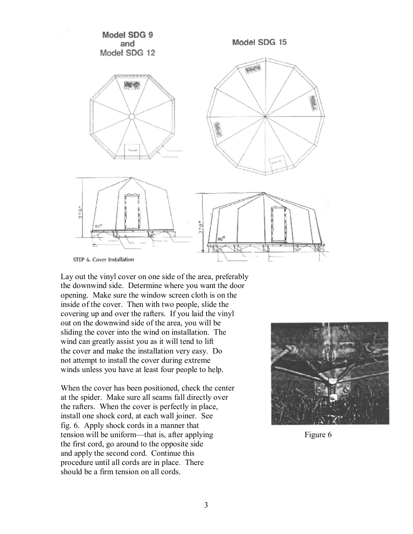

Lay out the vinyl cover on one side of the area, preferably the downwind side. Determine where you want the door opening. Make sure the window screen cloth is on the inside of the cover. Then with two people, slide the covering up and over the rafters. If you laid the vinyl out on the downwind side of the area, you will be sliding the cover into the wind on installation. The wind can greatly assist you as it will tend to lift the cover and make the installation very easy. Do not attempt to install the cover during extreme winds unless you have at least four people to help.

When the cover has been positioned, check the center at the spider. Make sure all seams fall directly over the rafters. When the cover is perfectly in place, install one shock cord, at each wall joiner. See fig. 6. Apply shock cords in a manner that tension will be uniform—that is, after applying Figure 6 the first cord, go around to the opposite side and apply the second cord. Continue this procedure until all cords are in place. There should be a firm tension on all cords.